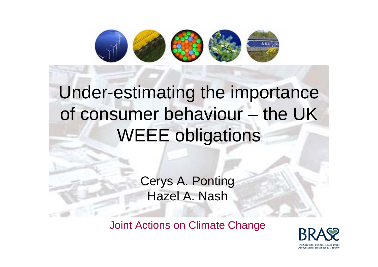

### Under-estimating the importance of consumer behaviour – the UK WEEE obligations

Cerys A. Ponting Hazel A. Nash

Joint Actions on Climate Change

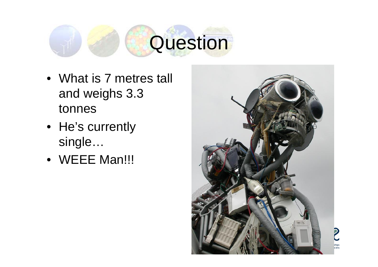# **Question**

- What is 7 metres tall and weighs 3.3 tonnes
- He's currently single…
- WEEE Man!!!

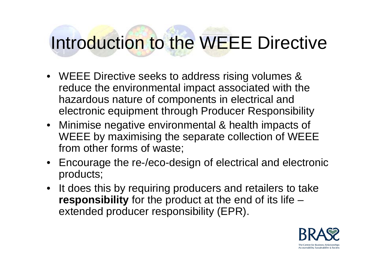### Introduction to the WEEE Directive

- WEEE Directive seeks to address rising volumes & reduce the environmental impact associated with the hazardous nature of components in electrical and electronic equipment through Producer Responsibility
- Minimise negative environmental & health impacts of WEEE by maximising the separate collection of WEEE from other forms of waste;
- Encourage the re-/eco-design of electrical and electronic products;
- It does this by requiring producers and retailers to take **responsibility** for the product at the end of its life – extended producer responsibility (EPR).

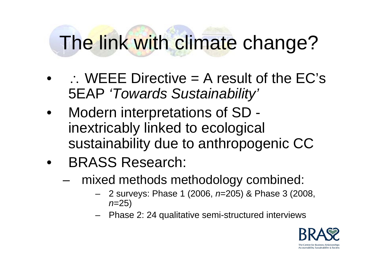## The link with climate change?

- $\bullet$  $\therefore$  WEEE Directive = A result of the EC's 5EAP *'Towards Sustainability'*
- Modern interpretations of SD inextricably linked to ecological sustainability due to anthropogenic CC
- BRASS Research:
	- mixed methods methodology combined:
		- 2 surveys: Phase 1 (2006, *<sup>n</sup>*=205) & Phase 3 (2008, *<sup>n</sup>*=25)
		- Phase 2: 24 qualitative semi-structured interviews

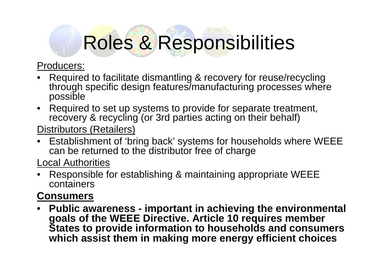### Roles & Responsibilities

#### Producers:

- Required to facilitate dismantling & recovery for reuse/recycling through specific design features/manufacturing processes where possible
- Required to set up systems to provide for separate treatment, recovery & recycling (or 3rd parties acting on their behalf)

#### Distributors (Retailers)

• Establishment of 'bring back' systems for households where WEEE can be returned to the distributor free of charge

Local Authorities

• Responsible for establishing & maintaining appropriate WEEE containers

#### **Consumers**

• **Public awareness - important in achieving the environmental goals of the WEEE Directive. Article 10 requires member States to provide information to households and consumers which assist them in making more energy efficient choices**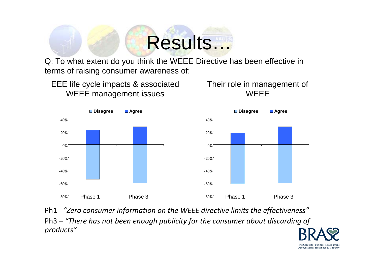# Results…

Q: To what extent do you think the WEEE Directive has been effective in terms of raising consumer awareness of:



Ph1 ‐ *"Zero consumer information on the WEEE directive limits the effectiveness"* Ph3 – *"There has not been enough publicity for the consumer about discarding of products"*

> The Centre for Business Relationships Accountability, Sustainability & Society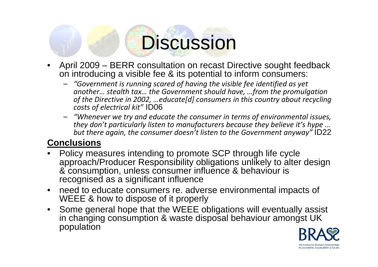### **Discussion**

- April 2009 BERR consultation on recast Directive sought feedback on introducing a visible fee & its potential to inform consumers:
	- *"Government is running scared of having the visible fee identified as yet another… stealth tax… the Government should have, …from the promulgation of the Directive in 2002, …educate[d] consumers in this country about recycling costs of electrical kit"* ID06
	- *"Whenever we try and educate the consumer in terms of environmental issues, they don't particularly listen to manufacturers because they believe it's hype … but there again, the consumer doesn't listen to the Government anyway"* ID22

#### **Conclusions**

- Policy measures intending to promote SCP through life cycle approach/Producer Responsibility obligations unlikely to alter design & consumption, unless consumer influence & behaviour is recognised as a significant influence
- need to educate consumers re. adverse environmental impacts of WEEE & how to dispose of it properly
- Some general hope that the WEEE obligations will eventually assist in changing consumption & waste disposal behaviour amongst UK population